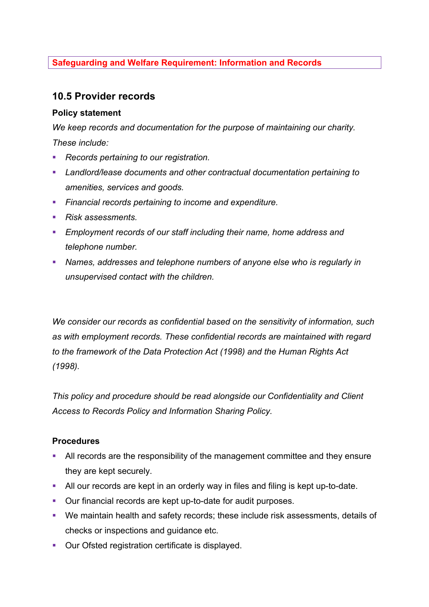# **Safeguarding and Welfare Requirement: Information and Records**

# **10.5 Provider records**

### **Policy statement**

*We keep records and documentation for the purpose of maintaining our charity. These include:*

- *Records pertaining to our registration.*
- § *Landlord/lease documents and other contractual documentation pertaining to amenities, services and goods.*
- § *Financial records pertaining to income and expenditure.*
- Risk assessments.
- § *Employment records of our staff including their name, home address and telephone number.*
- § *Names, addresses and telephone numbers of anyone else who is regularly in unsupervised contact with the children.*

*We consider our records as confidential based on the sensitivity of information, such as with employment records. These confidential records are maintained with regard to the framework of the Data Protection Act (1998) and the Human Rights Act (1998).*

*This policy and procedure should be read alongside our Confidentiality and Client Access to Records Policy and Information Sharing Policy.*

### **Procedures**

- All records are the responsibility of the management committee and they ensure they are kept securely.
- All our records are kept in an orderly way in files and filing is kept up-to-date.
- Our financial records are kept up-to-date for audit purposes.
- We maintain health and safety records; these include risk assessments, details of checks or inspections and guidance etc.
- Our Ofsted registration certificate is displayed.